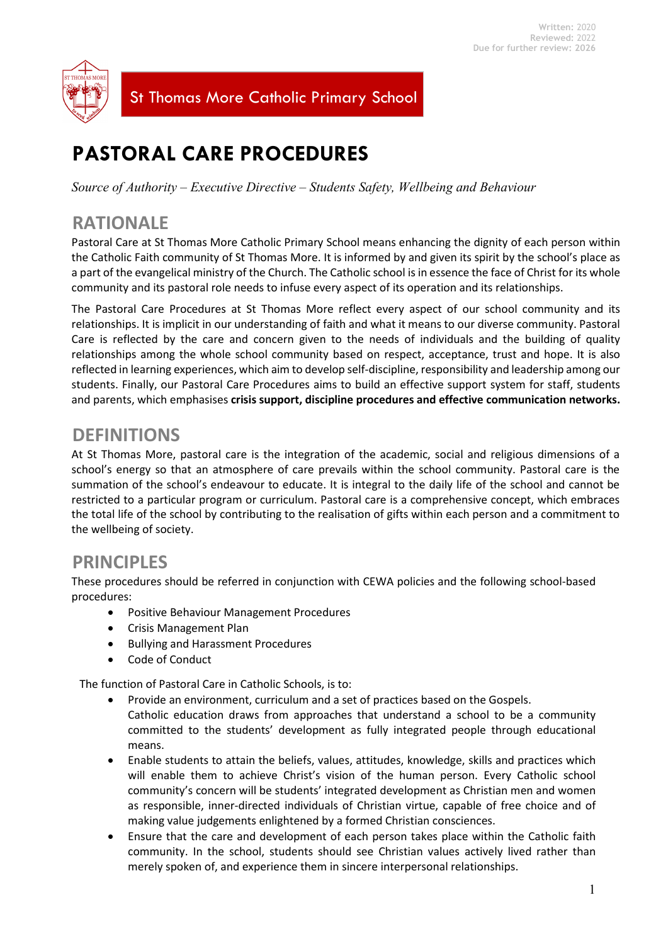

St Thomas More Catholic Primary School

# **PASTORAL CARE PROCEDURES**

*Source of Authority – Executive Directive – Students Safety, Wellbeing and Behaviour*

# **RATIONALE**

Pastoral Care at St Thomas More Catholic Primary School means enhancing the dignity of each person within the Catholic Faith community of St Thomas More. It is informed by and given its spirit by the school's place as a part of the evangelical ministry of the Church. The Catholic school is in essence the face of Christ for its whole community and its pastoral role needs to infuse every aspect of its operation and its relationships.

The Pastoral Care Procedures at St Thomas More reflect every aspect of our school community and its relationships. It is implicit in our understanding of faith and what it means to our diverse community. Pastoral Care is reflected by the care and concern given to the needs of individuals and the building of quality relationships among the whole school community based on respect, acceptance, trust and hope. It is also reflected in learning experiences, which aim to develop self-discipline, responsibility and leadership among our students. Finally, our Pastoral Care Procedures aims to build an effective support system for staff, students and parents, which emphasises **crisis support, discipline procedures and effective communication networks.**

### **DEFINITIONS**

At St Thomas More, pastoral care is the integration of the academic, social and religious dimensions of a school's energy so that an atmosphere of care prevails within the school community. Pastoral care is the summation of the school's endeavour to educate. It is integral to the daily life of the school and cannot be restricted to a particular program or curriculum. Pastoral care is a comprehensive concept, which embraces the total life of the school by contributing to the realisation of gifts within each person and a commitment to the wellbeing of society.

### **PRINCIPLES**

These procedures should be referred in conjunction with CEWA policies and the following school-based procedures:

- Positive Behaviour Management Procedures
- Crisis Management Plan
- Bullying and Harassment Procedures
- Code of Conduct

The function of Pastoral Care in Catholic Schools, is to:

- Provide an environment, curriculum and a set of practices based on the Gospels. Catholic education draws from approaches that understand a school to be a community committed to the students' development as fully integrated people through educational means.
- Enable students to attain the beliefs, values, attitudes, knowledge, skills and practices which will enable them to achieve Christ's vision of the human person. Every Catholic school community's concern will be students' integrated development as Christian men and women as responsible, inner-directed individuals of Christian virtue, capable of free choice and of making value judgements enlightened by a formed Christian consciences.
- Ensure that the care and development of each person takes place within the Catholic faith community. In the school, students should see Christian values actively lived rather than merely spoken of, and experience them in sincere interpersonal relationships.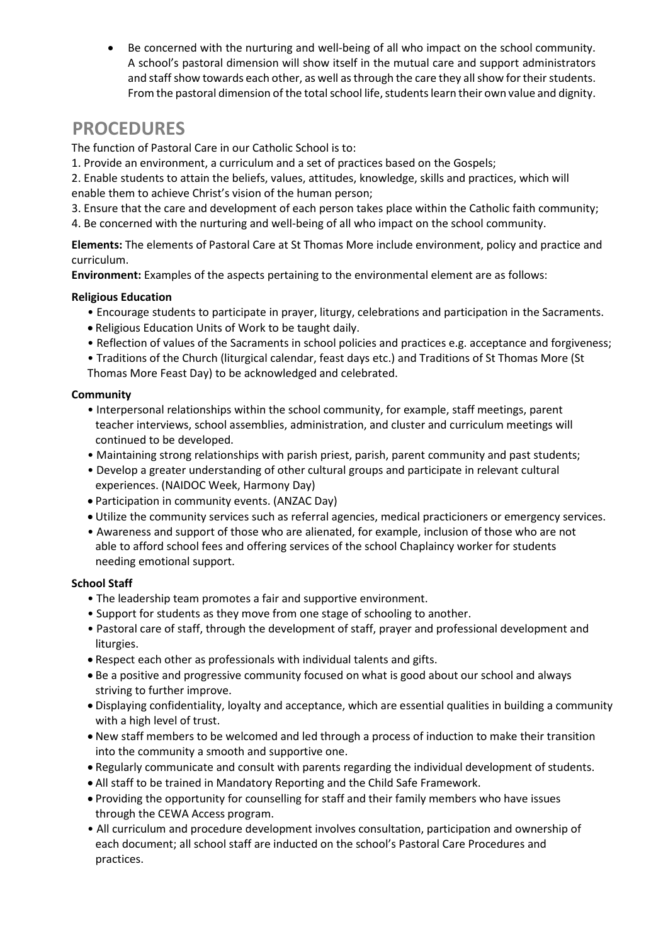Be concerned with the nurturing and well-being of all who impact on the school community. A school's pastoral dimension will show itself in the mutual care and support administrators and staff show towards each other, as well as through the care they all show for their students. From the pastoral dimension of the totalschool life, students learn their own value and dignity.

# **PROCEDURES**

The function of Pastoral Care in our Catholic School is to:

1. Provide an environment, a curriculum and a set of practices based on the Gospels;

2. Enable students to attain the beliefs, values, attitudes, knowledge, skills and practices, which will

- enable them to achieve Christ's vision of the human person;
- 3. Ensure that the care and development of each person takes place within the Catholic faith community;
- 4. Be concerned with the nurturing and well-being of all who impact on the school community.

**Elements:** The elements of Pastoral Care at St Thomas More include environment, policy and practice and curriculum.

**Environment:** Examples of the aspects pertaining to the environmental element are as follows:

### **Religious Education**

- Encourage students to participate in prayer, liturgy, celebrations and participation in the Sacraments.
- Religious Education Units of Work to be taught daily.
- Reflection of values of the Sacraments in school policies and practices e.g. acceptance and forgiveness;
- Traditions of the Church (liturgical calendar, feast days etc.) and Traditions of St Thomas More (St Thomas More Feast Day) to be acknowledged and celebrated.

### **Community**

- Interpersonal relationships within the school community, for example, staff meetings, parent teacher interviews, school assemblies, administration, and cluster and curriculum meetings will continued to be developed.
- Maintaining strong relationships with parish priest, parish, parent community and past students;
- Develop a greater understanding of other cultural groups and participate in relevant cultural experiences. (NAIDOC Week, Harmony Day)
- Participation in community events. (ANZAC Day)
- Utilize the community services such as referral agencies, medical practicioners or emergency services.
- Awareness and support of those who are alienated, for example, inclusion of those who are not able to afford school fees and offering services of the school Chaplaincy worker for students needing emotional support.

#### **School Staff**

- The leadership team promotes a fair and supportive environment.
- Support for students as they move from one stage of schooling to another.
- Pastoral care of staff, through the development of staff, prayer and professional development and liturgies.
- Respect each other as professionals with individual talents and gifts.
- Be a positive and progressive community focused on what is good about our school and always striving to further improve.
- Displaying confidentiality, loyalty and acceptance, which are essential qualities in building a community with a high level of trust.
- New staff members to be welcomed and led through a process of induction to make their transition into the community a smooth and supportive one.
- Regularly communicate and consult with parents regarding the individual development of students.
- All staff to be trained in Mandatory Reporting and the Child Safe Framework.
- Providing the opportunity for counselling for staff and their family members who have issues through the CEWA Access program.
- All curriculum and procedure development involves consultation, participation and ownership of each document; all school staff are inducted on the school's Pastoral Care Procedures and practices.